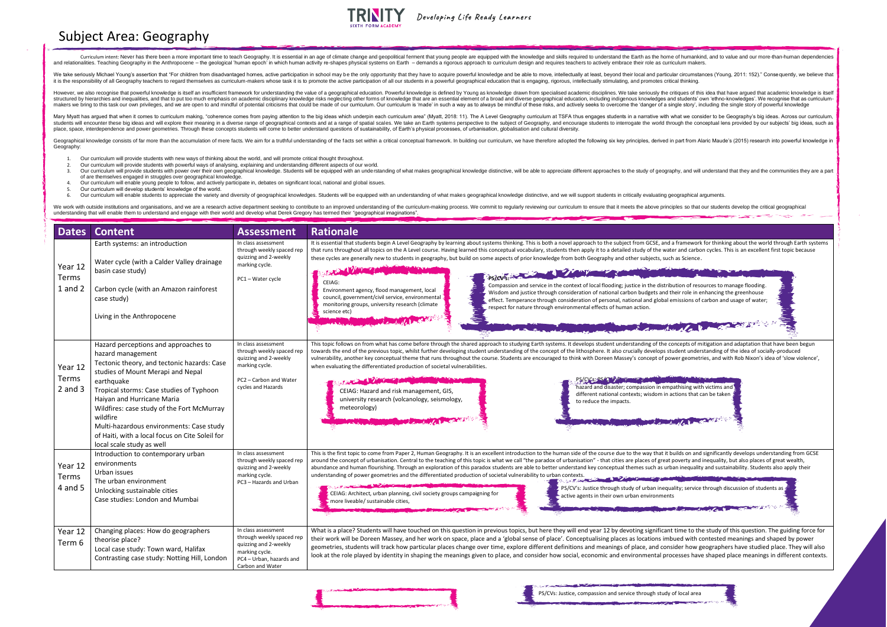Geographical knowledge consists of far more than the accumulation of mere facts. We aim for a truthful understanding of the facts set within a critical conceptual framework. In building our curriculum, we have therefore ad Geography:

- 1. Our curriculum will provide students with new ways of thinking about the world, and will promote critical thought throughout.
- 2. Our curriculum will provide students with powerful ways of analysing, explaining and understanding different aspects of our world.
- 3. Our curriculum will provide students with power over their own geographical knowledge. Students will be equipped with an understanding of what makes geographical knowledge distinctive, will be able to appreciate differe of are themselves engaged in struggles over geographical knowledge.
- 4. Our curriculum will enable young people to follow, and actively participate in, debates on significant local, national and global issues.
- 5. Our curriculum will develop students' knowledge of the world.
- 6. Our curriculum will enable students to appreciate the variety and diversity of geographical knowledges. Students will be equipped with an understanding of what makes geographical knowledge distinctive, and we will suppo

We work with outside institutions and organisations, and we are a research active department seeking to contribute to an improved understanding of the curriculum-making process. We commit to regularly reviewing our curricu understanding that will enable them to understand and engage with their world and develop what Derek Gregory has termed their "geographical imaginations". بدعد البطية



| <b>Dates</b>                    | <b>Content</b>                                                                                                                                                                                                                                                                                                                                                                                                              | <b>Assessment</b>                                                                                                                           | <b>Rationale</b>                                                                                                                                                                                                                                                                                                                                                                                                                                                                                                                                                                                                                                                                                                                                                                                                                                                                                                                                                                                                                                                                                                                      |
|---------------------------------|-----------------------------------------------------------------------------------------------------------------------------------------------------------------------------------------------------------------------------------------------------------------------------------------------------------------------------------------------------------------------------------------------------------------------------|---------------------------------------------------------------------------------------------------------------------------------------------|---------------------------------------------------------------------------------------------------------------------------------------------------------------------------------------------------------------------------------------------------------------------------------------------------------------------------------------------------------------------------------------------------------------------------------------------------------------------------------------------------------------------------------------------------------------------------------------------------------------------------------------------------------------------------------------------------------------------------------------------------------------------------------------------------------------------------------------------------------------------------------------------------------------------------------------------------------------------------------------------------------------------------------------------------------------------------------------------------------------------------------------|
| Year 12<br>Terms<br>1 and 2     | Earth systems: an introduction<br>Water cycle (with a Calder Valley drainage<br>basin case study)<br>Carbon cycle (with an Amazon rainforest<br>case study)<br>Living in the Anthropocene                                                                                                                                                                                                                                   | In class assessment<br>through weekly spaced rep<br>quizzing and 2-weekly<br>marking cycle.<br>PC1-Water cycle                              | It is essential that students begin A Level Geography by learning about systems thinking. This is both a novel approach to the subject from GCSE, and a framework for thinkin<br>that runs throughout all topics on the A Level course. Having learned this conceptual vocabulary, students then apply it to a detailed study of the water and carbon cycles. Th<br>these cycles are generally new to students in geography, but build on some aspects of prior knowledge from both Geography and other subjects, such as Science.<br>PS/CV5<br>CEIAG:<br>Compassion and service in the context of local flooding; justice in the distribution of resources to ma<br>Environment agency, flood management, local<br>Wisdom and justice through consideration of national carbon budgets and their role in enhancing th<br>council, government/civil service, environmental<br>effect. Temperance through consideration of personal, national and global emissions of carbon and<br>monitoring groups, university research (climate<br>respect for nature through environmental effects of human action.<br>science etc)<br>Aughar Pro |
| Year 12<br>Terms<br>$2$ and $3$ | Hazard perceptions and approaches to<br>hazard management<br>Tectonic theory, and tectonic hazards: Case<br>studies of Mount Merapi and Nepal<br>earthquake<br>Tropical storms: Case studies of Typhoon<br>Haiyan and Hurricane Maria<br>Wildfires: case study of the Fort McMurray<br>wildfire<br>Multi-hazardous environments: Case study<br>of Haiti, with a local focus on Cite Soleil for<br>local scale study as well | In class assessment<br>through weekly spaced rep<br>quizzing and 2-weekly<br>marking cycle.<br>PC2 - Carbon and Water<br>cycles and Hazards | This topic follows on from what has come before through the shared approach to studying Earth systems. It develops student understanding of the concepts of mitigation an<br>towards the end of the previous topic, whilst further developing student understanding of the concept of the lithosphere. It also crucially develops student understanding of<br>vulnerability, another key conceptual theme that runs throughout the course. Students are encouraged to think with Doreen Massey's concept of power geometries, and wit<br>when evaluating the differentiated production of societal vulnerabilities.<br>PS/CV's PS/CV / C<br>hazard and disaster; compassion in empathising with victims an<br>CEIAG: Hazard and risk management, GIS,<br>different national contexts; wisdom in actions that can be taken<br>university research (volcanology, seismology,<br>to reduce the impacts.<br>meteorology)                                                                                                                                                                                                                  |
| Year 12<br>Terms<br>4 and 5     | Introduction to contemporary urban<br>environments<br>Urban issues<br>The urban environment<br>Unlocking sustainable cities<br>Case studies: London and Mumbai                                                                                                                                                                                                                                                              | In class assessment<br>through weekly spaced rep<br>quizzing and 2-weekly<br>marking cycle.<br>PC3 - Hazards and Urban                      | This is the first topic to come from Paper 2, Human Geography. It is an excellent introduction to the human side of the course due to the way that it builds on and significantl<br>around the concept of urbanisation. Central to the teaching of this topic is what we call "the paradox of urbanisation" - that cities are places of great poverty and inequality, I<br>abundance and human flourishing. Through an exploration of this paradox students are able to better understand key conceptual themes such as urban inequality and sustai<br>understanding of power geometries and the differentiated production of societal vulnerability to urban contexts.<br>PS/CV's: Justice through study of urban inequality; service through dis<br>CEIAG: Architect, urban planning, civil society groups campaigning for<br>active agents in their own urban environments<br>more liveable/ sustainable cities,                                                                                                                                                                                                                   |
| Year 12<br>Term 6               | Changing places: How do geographers<br>theorise place?<br>Local case study: Town ward, Halifax<br>Contrasting case study: Notting Hill, London                                                                                                                                                                                                                                                                              | In class assessment<br>through weekly spaced rep<br>quizzing and 2-weekly<br>marking cycle.<br>PC4 - Urban, hazards and<br>Carbon and Water | What is a place? Students will have touched on this question in previous topics, but here they will end year 12 by devoting significant time to the study of<br>their work will be Doreen Massey, and her work on space, place and a 'global sense of place'. Conceptualising places as locations imbued with contested r<br>geometries, students will track how particular places change over time, explore different definitions and meanings of place, and consider how geographer<br>look at the role played by identity in shaping the meanings given to place, and consider how social, economic and environmental processes have shaped p                                                                                                                                                                                                                                                                                                                                                                                                                                                                                      |



## Subject Area: Geography

Curriculum intent: Never has there been a more important time to teach Geography. It is essential in an age of climate change and geopolitical ferment that young people are equipped with the knowledge and skills required t and relationalities. Teaching Geography in the Anthropocene - the geological 'human epoch' in which human activity re-shapes physical systems on Earth - demands a rigorous approach to curriculum design and requires teacher

**RINITY** Developing Life Ready Learners

We take seriously Michael Young's assertion that "For children from disadvantaged homes, active participation in school may be the only opportunity that they have to acquire powerful knowledge and be able to move, intellec it is the responsibility of all Geography teachers to regard themselves as curriculum-makers whose task it is to promote the active participation of all our students in a powerful geographical education that is engaging, r

However, we also recognise that powerful knowledge is itself an insufficient framework for understanding the value of a geographical education. Powerful knowledge is defined by Young as knowledge drawn from specialised aca structured by hierarchies and inequalities, and that to put too much emphasis on academic disciplinary knowledge risks neglecting other forms of knowledge that are an essential element of a broad and diverse geographical e makers we bring to this task our own privileges, and we are open to and mindful of potential criticisms that could be made of our curriculum. Our curriculum is 'made' in such a way as to always be mindful of these risks, a

Mary Myatt has argued that when it comes to curriculum making, "coherence comes from paying attention to the big ideas which underpin each curriculum area" (Myatt, 2018: 11). The A Level Geography curriculum at TSFA thus e students will encounter these big ideas and will explore their meaning in a diverse range of geographical contexts and at a range of spatial scales. We take an Earth systems perspective to the subject of Geography, and enc place, space, interdependence and power geometries. Through these concepts students will come to better understand questions of sustainability, of Earth's physical processes, of urbanisation, globalisation and cultural div